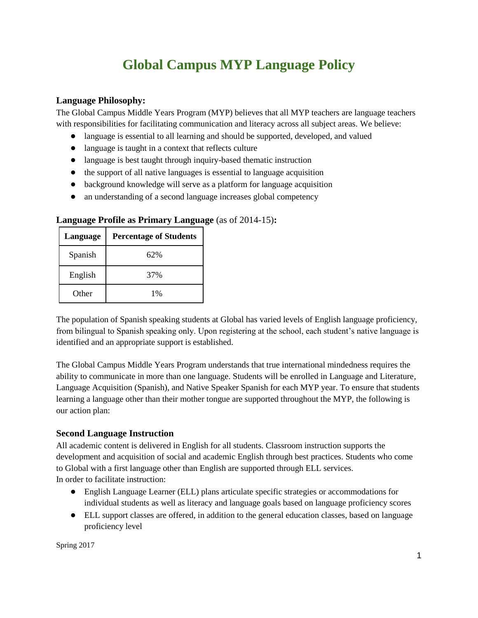# **Global Campus MYP Language Policy**

# **Language Philosophy:**

The Global Campus Middle Years Program (MYP) believes that all MYP teachers are language teachers with responsibilities for facilitating communication and literacy across all subject areas. We believe:

- language is essential to all learning and should be supported, developed, and valued
- language is taught in a context that reflects culture
- language is best taught through inquiry-based thematic instruction
- the support of all native languages is essential to language acquisition
- background knowledge will serve as a platform for language acquisition
- an understanding of a second language increases global competency

| Language | <b>Percentage of Students</b> |
|----------|-------------------------------|
| Spanish  | 62%                           |
| English  | 37%                           |
| Other    | $1\%$                         |

### **Language Profile as Primary Language** (as of 2014-15)**:**

The population of Spanish speaking students at Global has varied levels of English language proficiency, from bilingual to Spanish speaking only. Upon registering at the school, each student's native language is identified and an appropriate support is established.

The Global Campus Middle Years Program understands that true international mindedness requires the ability to communicate in more than one language. Students will be enrolled in Language and Literature, Language Acquisition (Spanish), and Native Speaker Spanish for each MYP year. To ensure that students learning a language other than their mother tongue are supported throughout the MYP, the following is our action plan:

# **Second Language Instruction**

All academic content is delivered in English for all students. Classroom instruction supports the development and acquisition of social and academic English through best practices. Students who come to Global with a first language other than English are supported through ELL services. In order to facilitate instruction:

- English Language Learner (ELL) plans articulate specific strategies or accommodations for individual students as well as literacy and language goals based on language proficiency scores
- ELL support classes are offered, in addition to the general education classes, based on language proficiency level

Spring 2017